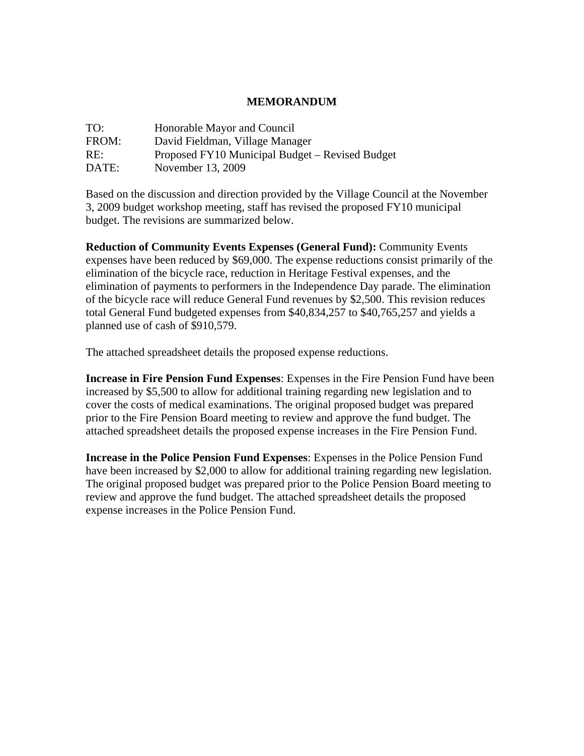## **MEMORANDUM**

| TO:   | Honorable Mayor and Council                     |
|-------|-------------------------------------------------|
| FROM: | David Fieldman, Village Manager                 |
| RE:   | Proposed FY10 Municipal Budget – Revised Budget |
| DATE: | November 13, 2009                               |

Based on the discussion and direction provided by the Village Council at the November 3, 2009 budget workshop meeting, staff has revised the proposed FY10 municipal budget. The revisions are summarized below.

**Reduction of Community Events Expenses (General Fund):** Community Events expenses have been reduced by \$69,000. The expense reductions consist primarily of the elimination of the bicycle race, reduction in Heritage Festival expenses, and the elimination of payments to performers in the Independence Day parade. The elimination of the bicycle race will reduce General Fund revenues by \$2,500. This revision reduces total General Fund budgeted expenses from \$40,834,257 to \$40,765,257 and yields a planned use of cash of \$910,579.

The attached spreadsheet details the proposed expense reductions.

**Increase in Fire Pension Fund Expenses**: Expenses in the Fire Pension Fund have been increased by \$5,500 to allow for additional training regarding new legislation and to cover the costs of medical examinations. The original proposed budget was prepared prior to the Fire Pension Board meeting to review and approve the fund budget. The attached spreadsheet details the proposed expense increases in the Fire Pension Fund.

**Increase in the Police Pension Fund Expenses**: Expenses in the Police Pension Fund have been increased by \$2,000 to allow for additional training regarding new legislation. The original proposed budget was prepared prior to the Police Pension Board meeting to review and approve the fund budget. The attached spreadsheet details the proposed expense increases in the Police Pension Fund.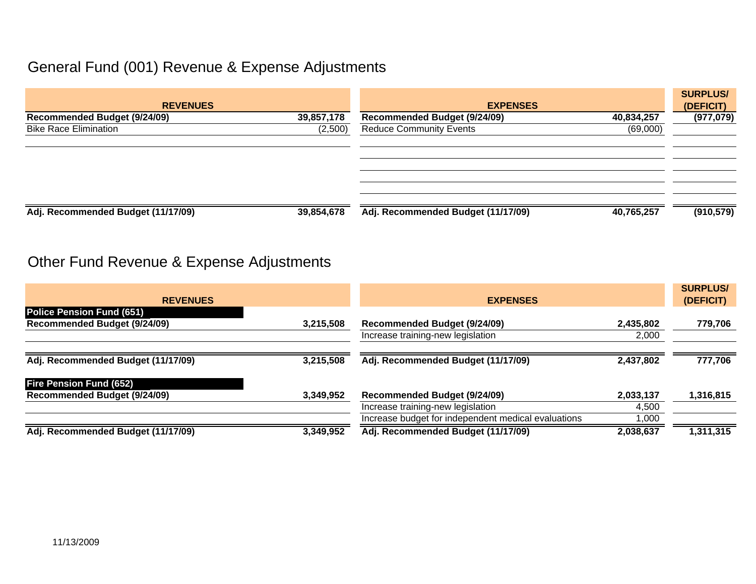## General Fund (001) Revenue & Expense Adjustments

| <b>REVENUES</b>                     |            | <b>EXPENSES</b>                     | <b>SURPLUS/</b><br>(DEFICIT) |            |
|-------------------------------------|------------|-------------------------------------|------------------------------|------------|
| <b>Recommended Budget (9/24/09)</b> | 39,857,178 | <b>Recommended Budget (9/24/09)</b> | 40,834,257                   | (977, 079) |
| <b>Bike Race Elimination</b>        | (2,500)    | <b>Reduce Community Events</b>      | (69,000)                     |            |
|                                     |            |                                     |                              |            |
| Adj. Recommended Budget (11/17/09)  | 39,854,678 | Adj. Recommended Budget (11/17/09)  | 40,765,257                   | (910, 579) |

## Other Fund Revenue & Expense Adjustments

| <b>REVENUES</b>                                 |           | <b>EXPENSES</b>                                     |           | <b>SURPLUS/</b><br>(DEFICIT) |
|-------------------------------------------------|-----------|-----------------------------------------------------|-----------|------------------------------|
| <b>Police Pension Fund (651)</b>                |           |                                                     |           |                              |
| <b>Recommended Budget (9/24/09)</b>             | 3,215,508 | <b>Recommended Budget (9/24/09)</b>                 | 2,435,802 | 779,706                      |
|                                                 |           | Increase training-new legislation                   | 2,000     |                              |
| Adj. Recommended Budget (11/17/09)              | 3,215,508 | Adj. Recommended Budget (11/17/09)                  | 2,437,802 | 777,706                      |
| <b>Fire Pension Fund (652)</b>                  |           |                                                     |           |                              |
| Recommended Budget (9/24/09)                    | 3,349,952 | <b>Recommended Budget (9/24/09)</b>                 | 2,033,137 | 1,316,815                    |
|                                                 |           | Increase training-new legislation                   | 4,500     |                              |
|                                                 |           | Increase budget for independent medical evaluations | 1,000     |                              |
| 3,349,952<br>Adj. Recommended Budget (11/17/09) |           | Adj. Recommended Budget (11/17/09)<br>2,038,637     |           | 1,311,315                    |